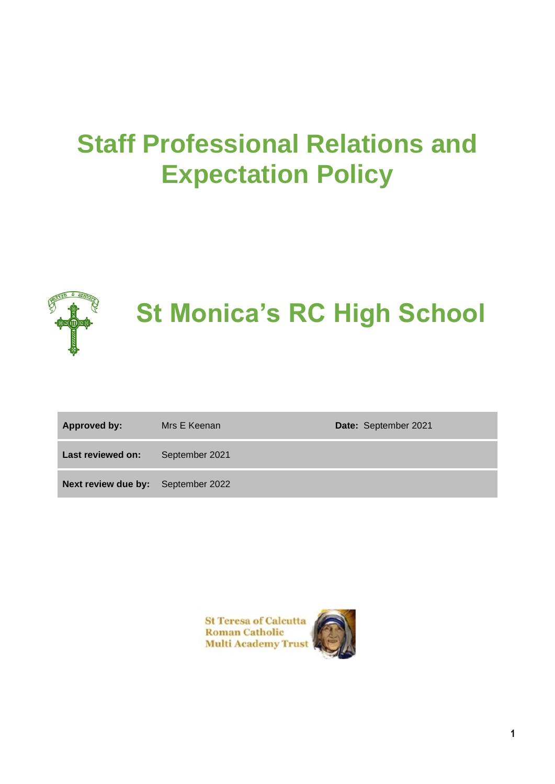# **Staff Professional Relations and Expectation Policy**



# **St Monica's RC High School**

| <b>Approved by:</b>                       | Mrs E Keenan   | <b>Date:</b> September 2021 |
|-------------------------------------------|----------------|-----------------------------|
| Last reviewed on:                         | September 2021 |                             |
| <b>Next review due by:</b> September 2022 |                |                             |

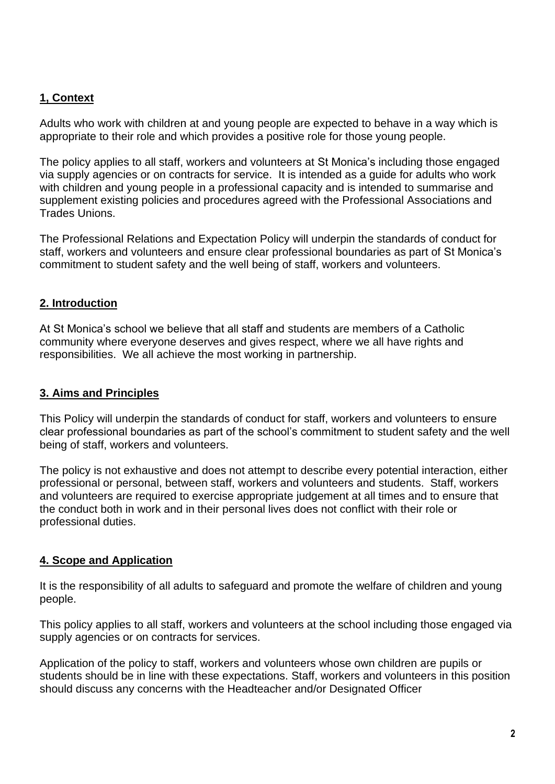# **1, Context**

Adults who work with children at and young people are expected to behave in a way which is appropriate to their role and which provides a positive role for those young people.

The policy applies to all staff, workers and volunteers at St Monica's including those engaged via supply agencies or on contracts for service. It is intended as a guide for adults who work with children and young people in a professional capacity and is intended to summarise and supplement existing policies and procedures agreed with the Professional Associations and Trades Unions.

The Professional Relations and Expectation Policy will underpin the standards of conduct for staff, workers and volunteers and ensure clear professional boundaries as part of St Monica's commitment to student safety and the well being of staff, workers and volunteers.

# **2. Introduction**

At St Monica's school we believe that all staff and students are members of a Catholic community where everyone deserves and gives respect, where we all have rights and responsibilities. We all achieve the most working in partnership.

#### **3. Aims and Principles**

This Policy will underpin the standards of conduct for staff, workers and volunteers to ensure clear professional boundaries as part of the school's commitment to student safety and the well being of staff, workers and volunteers.

The policy is not exhaustive and does not attempt to describe every potential interaction, either professional or personal, between staff, workers and volunteers and students. Staff, workers and volunteers are required to exercise appropriate judgement at all times and to ensure that the conduct both in work and in their personal lives does not conflict with their role or professional duties.

# **4. Scope and Application**

It is the responsibility of all adults to safeguard and promote the welfare of children and young people.

This policy applies to all staff, workers and volunteers at the school including those engaged via supply agencies or on contracts for services.

Application of the policy to staff, workers and volunteers whose own children are pupils or students should be in line with these expectations. Staff, workers and volunteers in this position should discuss any concerns with the Headteacher and/or Designated Officer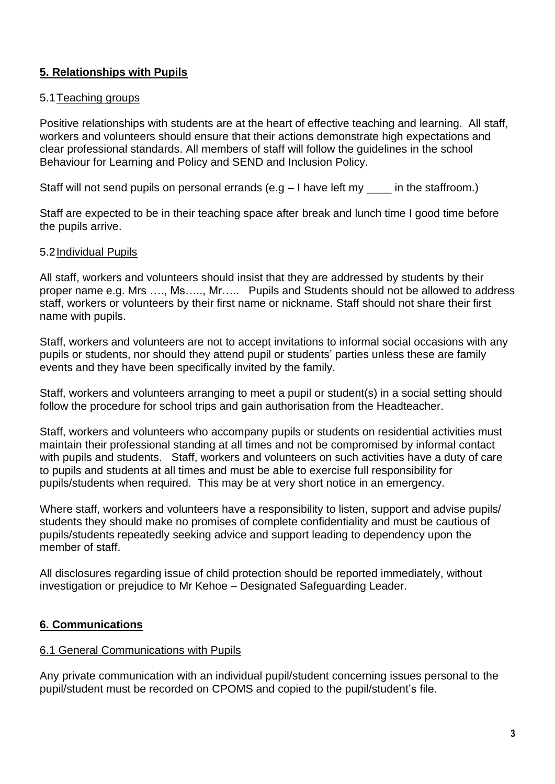# **5. Relationships with Pupils**

#### 5.1Teaching groups

Positive relationships with students are at the heart of effective teaching and learning. All staff, workers and volunteers should ensure that their actions demonstrate high expectations and clear professional standards. All members of staff will follow the guidelines in the school Behaviour for Learning and Policy and SEND and Inclusion Policy.

Staff will not send pupils on personal errands (e.g  $-1$  have left my  $\_\_$  in the staffroom.)

Staff are expected to be in their teaching space after break and lunch time I good time before the pupils arrive.

#### 5.2Individual Pupils

All staff, workers and volunteers should insist that they are addressed by students by their proper name e.g. Mrs …., Ms….., Mr….. Pupils and Students should not be allowed to address staff, workers or volunteers by their first name or nickname. Staff should not share their first name with pupils.

Staff, workers and volunteers are not to accept invitations to informal social occasions with any pupils or students, nor should they attend pupil or students' parties unless these are family events and they have been specifically invited by the family.

Staff, workers and volunteers arranging to meet a pupil or student(s) in a social setting should follow the procedure for school trips and gain authorisation from the Headteacher.

Staff, workers and volunteers who accompany pupils or students on residential activities must maintain their professional standing at all times and not be compromised by informal contact with pupils and students. Staff, workers and volunteers on such activities have a duty of care to pupils and students at all times and must be able to exercise full responsibility for pupils/students when required. This may be at very short notice in an emergency.

Where staff, workers and volunteers have a responsibility to listen, support and advise pupils/ students they should make no promises of complete confidentiality and must be cautious of pupils/students repeatedly seeking advice and support leading to dependency upon the member of staff.

All disclosures regarding issue of child protection should be reported immediately, without investigation or prejudice to Mr Kehoe – Designated Safeguarding Leader.

#### **6. Communications**

#### 6.1 General Communications with Pupils

Any private communication with an individual pupil/student concerning issues personal to the pupil/student must be recorded on CPOMS and copied to the pupil/student's file.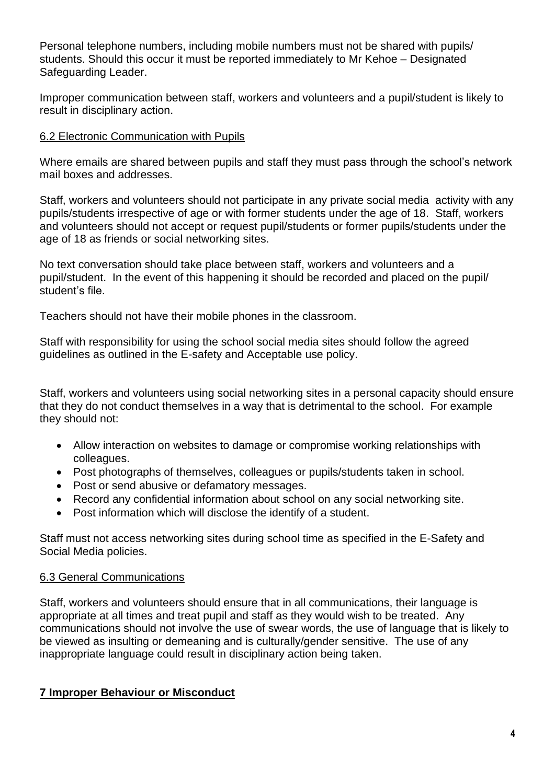Personal telephone numbers, including mobile numbers must not be shared with pupils/ students. Should this occur it must be reported immediately to Mr Kehoe – Designated Safeguarding Leader.

Improper communication between staff, workers and volunteers and a pupil/student is likely to result in disciplinary action.

#### 6.2 Electronic Communication with Pupils

Where emails are shared between pupils and staff they must pass through the school's network mail boxes and addresses.

Staff, workers and volunteers should not participate in any private social media activity with any pupils/students irrespective of age or with former students under the age of 18. Staff, workers and volunteers should not accept or request pupil/students or former pupils/students under the age of 18 as friends or social networking sites.

No text conversation should take place between staff, workers and volunteers and a pupil/student. In the event of this happening it should be recorded and placed on the pupil/ student's file.

Teachers should not have their mobile phones in the classroom.

Staff with responsibility for using the school social media sites should follow the agreed guidelines as outlined in the E-safety and Acceptable use policy.

Staff, workers and volunteers using social networking sites in a personal capacity should ensure that they do not conduct themselves in a way that is detrimental to the school. For example they should not:

- Allow interaction on websites to damage or compromise working relationships with colleagues.
- Post photographs of themselves, colleagues or pupils/students taken in school.
- Post or send abusive or defamatory messages.
- Record any confidential information about school on any social networking site.
- Post information which will disclose the identify of a student.

Staff must not access networking sites during school time as specified in the E-Safety and Social Media policies.

#### 6.3 General Communications

Staff, workers and volunteers should ensure that in all communications, their language is appropriate at all times and treat pupil and staff as they would wish to be treated. Any communications should not involve the use of swear words, the use of language that is likely to be viewed as insulting or demeaning and is culturally/gender sensitive. The use of any inappropriate language could result in disciplinary action being taken.

#### **7 Improper Behaviour or Misconduct**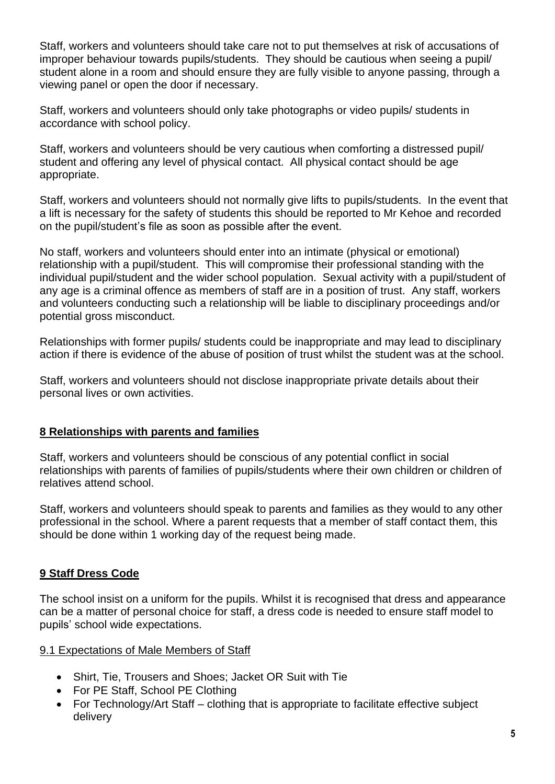Staff, workers and volunteers should take care not to put themselves at risk of accusations of improper behaviour towards pupils/students. They should be cautious when seeing a pupil/ student alone in a room and should ensure they are fully visible to anyone passing, through a viewing panel or open the door if necessary.

Staff, workers and volunteers should only take photographs or video pupils/ students in accordance with school policy.

Staff, workers and volunteers should be very cautious when comforting a distressed pupil/ student and offering any level of physical contact. All physical contact should be age appropriate.

Staff, workers and volunteers should not normally give lifts to pupils/students. In the event that a lift is necessary for the safety of students this should be reported to Mr Kehoe and recorded on the pupil/student's file as soon as possible after the event.

No staff, workers and volunteers should enter into an intimate (physical or emotional) relationship with a pupil/student. This will compromise their professional standing with the individual pupil/student and the wider school population. Sexual activity with a pupil/student of any age is a criminal offence as members of staff are in a position of trust. Any staff, workers and volunteers conducting such a relationship will be liable to disciplinary proceedings and/or potential gross misconduct.

Relationships with former pupils/ students could be inappropriate and may lead to disciplinary action if there is evidence of the abuse of position of trust whilst the student was at the school.

Staff, workers and volunteers should not disclose inappropriate private details about their personal lives or own activities.

#### **8 Relationships with parents and families**

Staff, workers and volunteers should be conscious of any potential conflict in social relationships with parents of families of pupils/students where their own children or children of relatives attend school.

Staff, workers and volunteers should speak to parents and families as they would to any other professional in the school. Where a parent requests that a member of staff contact them, this should be done within 1 working day of the request being made.

#### **9 Staff Dress Code**

The school insist on a uniform for the pupils. Whilst it is recognised that dress and appearance can be a matter of personal choice for staff, a dress code is needed to ensure staff model to pupils' school wide expectations.

#### 9.1 Expectations of Male Members of Staff

- Shirt, Tie, Trousers and Shoes; Jacket OR Suit with Tie
- For PE Staff, School PE Clothing
- For Technology/Art Staff clothing that is appropriate to facilitate effective subject delivery